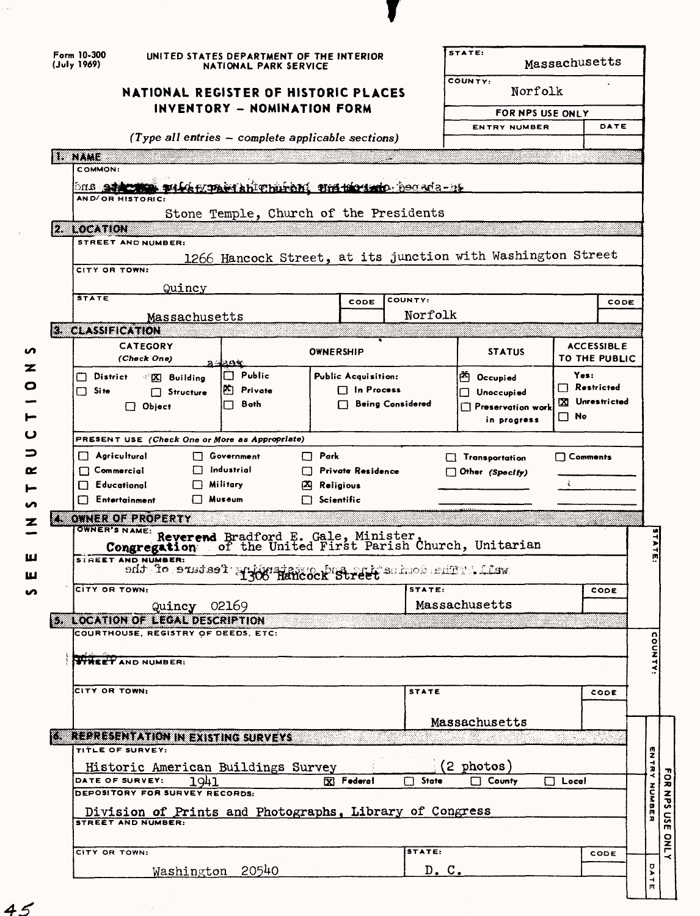| Form 10-300<br>(July 1969) |                                                                                     | UNITED STATES DEPARTMENT OF THE INTERIOR<br>NATIONAL PARK SERVICE |                   |                                 |                         | STATE: |                                         | Massachusetts |                           |                |  |
|----------------------------|-------------------------------------------------------------------------------------|-------------------------------------------------------------------|-------------------|---------------------------------|-------------------------|--------|-----------------------------------------|---------------|---------------------------|----------------|--|
|                            | NATIONAL REGISTER OF HISTORIC PLACES                                                |                                                                   |                   |                                 |                         |        | COUNTY:                                 | Norfolk       |                           |                |  |
|                            |                                                                                     | INVENTORY - NOMINATION FORM                                       |                   |                                 |                         |        | FOR NPS USE ONLY                        |               |                           |                |  |
|                            |                                                                                     |                                                                   |                   |                                 |                         |        | <b>ENTRY NUMBER</b>                     |               |                           | DATE           |  |
|                            |                                                                                     | $(Type all entries - complete applicable sections)$               |                   |                                 |                         |        |                                         |               |                           |                |  |
| US NATIO<br>COMMON:        |                                                                                     |                                                                   |                   |                                 |                         |        |                                         |               |                           |                |  |
| DNS 271                    |                                                                                     | <u> Tils Hansk hishen i Det til 1999 (bord a-b)</u>               |                   |                                 |                         |        |                                         |               |                           |                |  |
|                            | AND/OR HISTORIC:                                                                    |                                                                   |                   |                                 |                         |        |                                         |               |                           |                |  |
|                            |                                                                                     | Stone Temple, Church of the Presidents                            |                   |                                 |                         |        |                                         |               |                           |                |  |
| 2. LOCATION                | STREET AND NUMBER:                                                                  |                                                                   |                   |                                 |                         |        |                                         |               |                           |                |  |
|                            |                                                                                     | 1266 Hancock Street, at its junction with Washington Street       |                   |                                 |                         |        |                                         |               |                           |                |  |
|                            | CITY OR TOWN:                                                                       |                                                                   |                   |                                 |                         |        |                                         |               |                           |                |  |
| <b>STATE</b>               | Quincy                                                                              |                                                                   |                   |                                 |                         |        |                                         |               |                           |                |  |
|                            |                                                                                     |                                                                   |                   | CODE                            | COUNTY:<br>Norfolk      |        |                                         |               |                           | CODE           |  |
| <b>3. CLASSIFICATION</b>   |                                                                                     | Massachusetts                                                     |                   |                                 |                         |        |                                         |               |                           |                |  |
|                            | <b>CATEGORY</b>                                                                     |                                                                   |                   |                                 |                         |        |                                         |               | <b>ACCESSIBLE</b>         |                |  |
|                            | (Check One)                                                                         | 29%                                                               | <b>OWNERSHIP</b>  |                                 |                         |        | <b>STATUS</b>                           |               |                           | TO THE PUBLIC  |  |
| $\Box$ District            | <b>X</b> Building                                                                   | $\Box$ Public                                                     |                   | <b>Public Acquisition:</b>      |                         |        | <sup>25</sup> Occupied                  |               | Yes:<br>$\Box$ Restricted |                |  |
| $\Box$ Site                | $\Box$ Structure                                                                    | <b>P. Private</b><br>Both                                         |                   | $\Box$ In Process               | <b>Being Considered</b> |        | □ Unoccupied                            |               |                           | X Unrestricted |  |
|                            | $\Box$ Object                                                                       | l 1                                                               |                   |                                 |                         |        | $\Box$ Preservation work<br>in progress |               | $\square$ No              |                |  |
|                            |                                                                                     |                                                                   |                   |                                 |                         |        |                                         |               |                           |                |  |
|                            | <b>PRESENT USE (Check One or More as Appropriate)</b><br>$\Box$ Agricultural        | □ Government                                                      | $\Box$ Park       |                                 |                         |        | Transportation                          |               | □ Comments                |                |  |
| $\Box$ Commercial          |                                                                                     | Industrial                                                        |                   |                                 |                         |        |                                         |               |                           |                |  |
|                            |                                                                                     |                                                                   |                   | Private Residence               |                         |        |                                         |               |                           |                |  |
|                            | $\Box$ Educational                                                                  | $\Box$ Military                                                   | 囚 Religious       |                                 |                         |        | $\Box$ Other (Specify)                  |               | Ł                         |                |  |
|                            | $\Box$ Entertainment                                                                | □ Museum                                                          | $\Box$ Scientific |                                 |                         |        |                                         |               |                           |                |  |
|                            | OWNER OF PROPERTY                                                                   |                                                                   |                   |                                 |                         |        |                                         |               |                           |                |  |
|                            | <b>OWNER'S NAME:</b>                                                                |                                                                   |                   |                                 |                         |        |                                         |               |                           |                |  |
|                            | Congregation<br><b>STREET AND NUMBER:</b>                                           | Reverend Bradford E. Gale, Minister, Whater, Unitarian            |                   |                                 |                         |        |                                         |               |                           |                |  |
|                            |                                                                                     | and for state of the comme of the second of the                   |                   |                                 |                         |        |                                         |               |                           |                |  |
|                            | CITY OR TOWN:                                                                       |                                                                   |                   |                                 | STATE:                  |        |                                         |               |                           | CODE           |  |
|                            |                                                                                     | Quincy 02169                                                      |                   |                                 |                         |        | Massachusetts                           |               |                           |                |  |
|                            | 5. LOCATION OF LEGAL DESCRIPTION                                                    |                                                                   |                   |                                 |                         |        |                                         |               |                           |                |  |
|                            | COURTHOUSE, REGISTRY OF DEEDS, ETC:                                                 |                                                                   |                   |                                 |                         |        |                                         |               |                           |                |  |
|                            | <b>STREET AND NUMBER:</b>                                                           |                                                                   |                   |                                 |                         |        |                                         |               |                           |                |  |
|                            |                                                                                     |                                                                   |                   |                                 |                         |        |                                         |               |                           |                |  |
| CITY OR TOWN:              |                                                                                     |                                                                   |                   |                                 | <b>STATE</b>            |        |                                         |               |                           | CODE           |  |
|                            |                                                                                     |                                                                   |                   |                                 |                         |        |                                         |               |                           |                |  |
|                            |                                                                                     |                                                                   |                   |                                 |                         |        | Massachusetts                           |               |                           |                |  |
|                            | 6. REPRESENTATION IN EXISTING SURVEYS<br>TITLE OF SURVEY:                           |                                                                   |                   |                                 |                         |        |                                         |               |                           |                |  |
|                            | Historic American Buildings Survey                                                  |                                                                   |                   |                                 |                         |        | (2 photos)                              |               |                           |                |  |
|                            | DATE OF SURVEY:                                                                     | 1941                                                              |                   | $\mathbf{\overline{X}}$ Federal | $\Box$ State            |        | $\Box$ County                           | $\Box$ Local  |                           |                |  |
|                            | DEPOSITORY FOR SURVEY RECORDS:                                                      |                                                                   |                   |                                 |                         |        |                                         |               |                           |                |  |
|                            | Division of Prints and Photographs, Library of Congress<br><b>STREET AND NUMBER</b> |                                                                   |                   |                                 |                         |        |                                         |               |                           |                |  |
|                            |                                                                                     |                                                                   |                   |                                 |                         |        |                                         |               |                           |                |  |
|                            | CITY OR TOWN:                                                                       | Washington 20540                                                  |                   |                                 | STATE:                  |        |                                         |               |                           | CODE           |  |

J

**rn 0**

 $45$ 

 $\ddot{\phantom{a}}$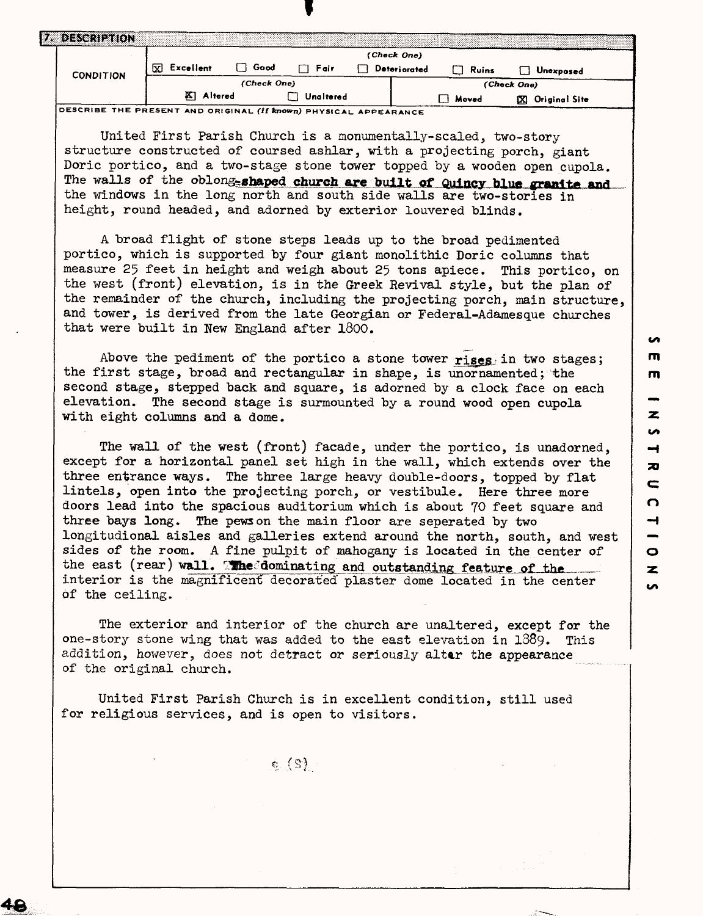|                  |                 |             |           | (Check One)  |       |                    |
|------------------|-----------------|-------------|-----------|--------------|-------|--------------------|
| <b>CONDITION</b> | Excellent<br>ΣĪ | Good<br>רו  | Fair      | Deteriorated | Ruins | Unexposed          |
|                  |                 | (Check One) |           |              |       | (Check One)        |
|                  | Altered<br>PΣI  |             | Unaltered |              | Moved | Original Site<br>œ |

United First Parish Church is a monumentally-scaled, two-story structure constructed of coursed ashlar, with a projecting porch, giant Doric portico, and a two-stage stone tower topped by a wooden open cupola. The walls of the oblong-shaped church are built of Quincy blue granite and the windows in the long north and south side walls are two-stories in height, round headed, and adorned by exterior louvered blinds.

A broad flight of stone steps leads up to the broad pedimented portico, which is supported by four giant monolithic Doric columns that measure 25 feet in height and weigh about 25 tons apiece. This portico, on the west (front) elevation, is in the Greek Revival style, but the plan of the remainder of the church, including the projecting porch, main structure, and tower, is derived from the late Georgian or Federal-Adamesque churches that were built in New England after 1800.

Above the pediment of the portico a stone tower rises in two stages; the first stage, broad and rectangular in shape, is unornamented; the second stage, stepped back and square, is adorned by a clock face on each elevation. The second stage is surmounted by a round wood open cupola with eight columns and a dome.

The wall of the west (front) facade, under the portico, is unadorned, except for a horizontal panel set high in the wall, which extends over the three entrance ways. The three large heavy double-doors, topped by flat lintels, open into the projecting porch, or vestibule. Here three more doors lead into the spacious auditorium which is about 70 feet square and three bays long. The pews on the main floor are seperated by two longitudional aisles and galleries extend around the north, south, and west sides of the room. A fine pulpit of mahogany is located in the center of the east (rear) wall. The dominating and outstanding feature of the interior is the magnificent decorated plaster dome located in the center of the ceiling.

The exterior and interior of the church are unaltered, except for the one-story stone wing that was added to the east elevation in 1889. This addition, however, does not detract or seriously altar the appearance of the original church.

United First Parish Church is in excellent condition, still used for religious services, and is open to visitors.

 $\mathbf{c}^-(\mathbf{S})$  .

<u>یہ</u>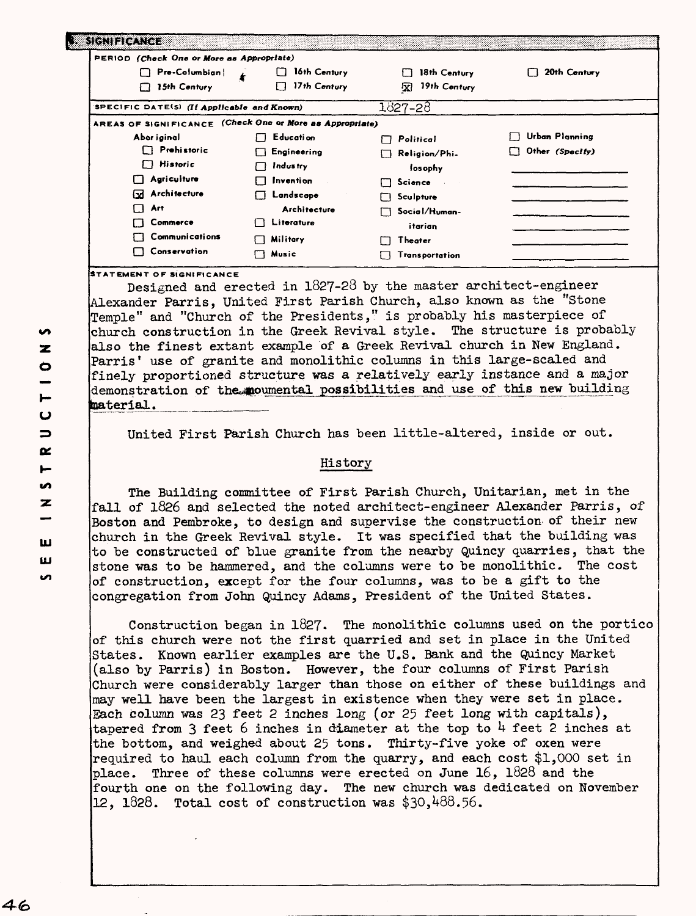| PERIOD (Check One or More as Appropriate)                |                    |                   |                       |
|----------------------------------------------------------|--------------------|-------------------|-----------------------|
| Pre-Columbian                                            | 16th Century       | 18th Century      | 20th Century          |
| 15th Century<br>П                                        | 17th Century<br>П  | 19th Century<br>凤 |                       |
| SPECIFIC DATE(S) (If Applicable and Known)               |                    | 1827-28           |                       |
| AREAS OF SIGNIFICANCE (Check One or More as Appropriate) |                    |                   |                       |
| Abor iginal                                              | Education          | Political         | <b>Urban Planning</b> |
| $\Box$ Prehistoric                                       | $\Box$ Engineering | Religion/Phi.     | Other (Specify)       |
| $\Box$ Historic                                          | Industry           | losophy           |                       |
| Agriculture                                              | Invention          | Science           |                       |
| Architecture<br>⊡                                        | Landscape          | Sculpture         |                       |
| Art<br>' '                                               | Architecture       | Social/Human-     |                       |
| Commerce                                                 | Literature<br>''   | itarian           |                       |
| Communications                                           | Military           | Theater           |                       |
| Conservation                                             | Music              | Transportation    |                       |

**STATEMENT OF SIGNIFICANCE**

Designed and erected in 1827-28 by the master architect-engineer Alexander Parris, United First Parish Church, also known as the "Stone Temple" and "Church of the Presidents," is probably his masterpiece of church construction in the Greek Revival style. The structure is probably also the finest extant example of a Greek Revival church in New England. Parris' use of granite and monolithic columns in this large-scaled and finely proportioned structure was a relatively early instance and a major demonstration of the moumental possibilities and use of this new building material.

United First Parish Church has been little-altered, inside or out.

### History

The Building committee of First Parish Church, Unitarian, met in the fall of 1826 and selected the noted architect-engineer Alexander Parris, of Boston and Pembroke, to design and supervise the construction of their new church in the Greek Revival style. It was specified that the building was to be constructed of blue granite from the nearby Quincy quarries, that the stone was to be hammered, and the columns were to be monolithic. The cost of construction, except for the four columns, was to be a gift to the congregation from John Quincy Adams, President of the United States.

Construction began in 1827. The monolithic columns used on the portico of this church were not the first quarried and set in place in the United States. Known earlier examples are the U.S. Bank and the Quincy Market (also by Parris) in Boston. However, the four columns of First Parish Church were considerably larger than those on either of these buildings and may well have been the largest in existence when they were set in place. Each column was 23 feet 2 inches long (or 25 feet long with capitals), tapered from 3 feet 6 inches in diameter at the top to  $4$  feet 2 inches at the bottom, and weighed about 25 tons. Thirty-five yoke of oxen were required to haul each column from the quarry, and each cost \$1,000 set in place. Three of these columns were erected on June 16, 1828 and the fourth one on the following day. The new church was dedicated on November  $12, 1828.$  Total cost of construction was \$30,488.56.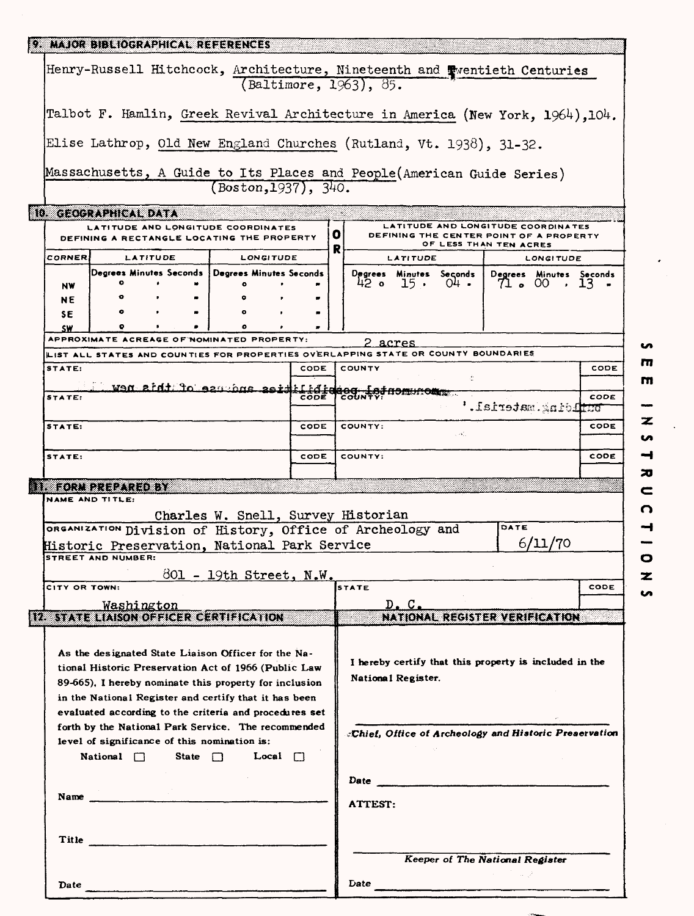|                                                                                                                                                                                                            |                           |          | 9. MAJOR BIBLIOGRAPHICAL REFERENCES                                                                                                                                                                                            |      |   |                         |          |                                                                                                         |                     |                         |      |
|------------------------------------------------------------------------------------------------------------------------------------------------------------------------------------------------------------|---------------------------|----------|--------------------------------------------------------------------------------------------------------------------------------------------------------------------------------------------------------------------------------|------|---|-------------------------|----------|---------------------------------------------------------------------------------------------------------|---------------------|-------------------------|------|
|                                                                                                                                                                                                            |                           |          | Henry-Russell Hitchcock, Architecture, Nineteenth and Twentieth Centuries                                                                                                                                                      |      |   | (Baltimore, 1963), 85.  |          |                                                                                                         |                     |                         |      |
|                                                                                                                                                                                                            |                           |          | Talbot F. Hamlin, Greek Revival Architecture in America (New York, 1964), 104.                                                                                                                                                 |      |   |                         |          |                                                                                                         |                     |                         |      |
|                                                                                                                                                                                                            |                           |          |                                                                                                                                                                                                                                |      |   |                         |          |                                                                                                         |                     |                         |      |
|                                                                                                                                                                                                            |                           |          | Elise Lathrop, Old New England Churches (Rutland, Vt. 1938), 31-32.                                                                                                                                                            |      |   |                         |          |                                                                                                         |                     |                         |      |
|                                                                                                                                                                                                            |                           |          | Massachusetts, A Guide to Its Places and People (American Guide Series)<br>(Boston, 1937), 340.                                                                                                                                |      |   |                         |          |                                                                                                         |                     |                         |      |
| 10. GEOGRAPHICAL DATA                                                                                                                                                                                      |                           |          |                                                                                                                                                                                                                                |      |   |                         |          |                                                                                                         |                     |                         |      |
|                                                                                                                                                                                                            |                           |          | LATITUDE AND LONGITUDE COORDINATES<br>DEFINING A RECTANGLE LOCATING THE PROPERTY                                                                                                                                               |      | o |                         |          | LATITUDE AND LONGITUDE COORDINATES<br>DEFINING THE CENTER POINT OF A PROPERTY<br>OF LESS THAN TEN ACRES |                     |                         |      |
| <b>CORNER</b>                                                                                                                                                                                              |                           | LATITUDE | <b>LONGITUDE</b>                                                                                                                                                                                                               |      | R |                         | LATITUDE |                                                                                                         |                     | <b>LONGITUDE</b>        |      |
|                                                                                                                                                                                                            | Degrees Minutes Seconds   |          | Degrees Minutes Seconds                                                                                                                                                                                                        |      |   |                         |          | Degrees Minutes Seconds                                                                                 |                     | Degrees Minutes Seconds |      |
| NW                                                                                                                                                                                                         | ۰<br>$\bullet$            |          |                                                                                                                                                                                                                                |      |   |                         |          | $42$ o $15$ o $04$ o $4$                                                                                |                     | 71.00.13                |      |
| NE                                                                                                                                                                                                         |                           |          |                                                                                                                                                                                                                                |      |   |                         |          |                                                                                                         |                     |                         |      |
| SE                                                                                                                                                                                                         |                           |          | ο                                                                                                                                                                                                                              |      |   |                         |          |                                                                                                         |                     |                         |      |
| <b>SW</b>                                                                                                                                                                                                  |                           |          | APPROXIMATE ACREAGE OF NOMINATED PROPERTY:                                                                                                                                                                                     |      |   | 2 acres                 |          |                                                                                                         |                     |                         |      |
|                                                                                                                                                                                                            |                           |          | LIST ALL STATES AND COUNTIES FOR PROPERTIES OVERLAPPING STATE OR COUNTY BOUNDARIES                                                                                                                                             |      |   |                         |          |                                                                                                         |                     |                         |      |
| STATE:                                                                                                                                                                                                     |                           |          |                                                                                                                                                                                                                                | CODE |   | COUNTY                  |          |                                                                                                         |                     |                         | CODE |
|                                                                                                                                                                                                            |                           |          | ties anduse of this new                                                                                                                                                                                                        |      |   |                         |          |                                                                                                         |                     |                         |      |
| STATE:                                                                                                                                                                                                     |                           |          |                                                                                                                                                                                                                                |      |   | Feges for the moment    |          |                                                                                                         | building.material.' |                         | CODE |
| STATE:                                                                                                                                                                                                     |                           |          |                                                                                                                                                                                                                                | CODE |   | COUNTY:                 |          |                                                                                                         |                     |                         | CODE |
| STATE:                                                                                                                                                                                                     |                           |          |                                                                                                                                                                                                                                | CODE |   | COUNTY:                 |          |                                                                                                         |                     |                         | CODE |
|                                                                                                                                                                                                            | LI TORN PREPARED BY       |          |                                                                                                                                                                                                                                |      |   |                         |          |                                                                                                         |                     |                         |      |
|                                                                                                                                                                                                            | NAME AND TITLE:           |          |                                                                                                                                                                                                                                |      |   |                         |          |                                                                                                         |                     |                         |      |
|                                                                                                                                                                                                            |                           |          | Charles W. Snell, Survey Historian                                                                                                                                                                                             |      |   |                         |          |                                                                                                         |                     |                         |      |
|                                                                                                                                                                                                            |                           |          | ORGANIZATION Division of History, Office of Archeology and                                                                                                                                                                     |      |   |                         |          |                                                                                                         | DATE                |                         |      |
|                                                                                                                                                                                                            |                           |          | Historic Preservation, National Park Service                                                                                                                                                                                   |      |   |                         |          |                                                                                                         |                     | 6/11/70                 |      |
|                                                                                                                                                                                                            | <b>STREET AND NUMBER:</b> |          |                                                                                                                                                                                                                                |      |   |                         |          |                                                                                                         |                     |                         |      |
|                                                                                                                                                                                                            |                           |          | 801 - 19th Street, N.W.                                                                                                                                                                                                        |      |   |                         |          |                                                                                                         |                     |                         |      |
| CITY OR TOWN:                                                                                                                                                                                              |                           |          |                                                                                                                                                                                                                                |      |   | <b>STATE</b>            |          |                                                                                                         |                     |                         | CODE |
|                                                                                                                                                                                                            | Washington                |          |                                                                                                                                                                                                                                |      |   |                         | D.C.     |                                                                                                         |                     |                         |      |
|                                                                                                                                                                                                            |                           |          | 12. STATE LIAISON OFFICER CERTIFICATION                                                                                                                                                                                        |      |   |                         |          | NATIONAL REGISTER VERIFICATION                                                                          |                     |                         |      |
|                                                                                                                                                                                                            |                           |          | As the designated State Liaison Officer for the Na-<br>tional Historic Preservation Act of 1966 (Public Law<br>89-665), I hereby nominate this property for inclusion<br>in the National Register and certify that it has been |      |   | National Register.      |          | I hereby certify that this property is included in the                                                  |                     |                         |      |
| evaluated according to the criteria and procedures set<br>forth by the National Park Service. The recommended<br>level of significance of this nomination is:<br>National $\Box$ State $\Box$ Local $\Box$ |                           |          | «Chief, Office of Archeology and Historic Preservation                                                                                                                                                                         |      |   |                         |          |                                                                                                         |                     |                         |      |
|                                                                                                                                                                                                            |                           |          | and the state of                                                                                                                                                                                                               |      |   |                         |          |                                                                                                         |                     |                         |      |
|                                                                                                                                                                                                            |                           |          |                                                                                                                                                                                                                                |      |   | <b>ATTEST:</b>          |          |                                                                                                         |                     |                         |      |
|                                                                                                                                                                                                            |                           |          | Title                                                                                                                                                                                                                          |      |   |                         |          |                                                                                                         |                     |                         |      |
|                                                                                                                                                                                                            |                           |          |                                                                                                                                                                                                                                |      |   |                         |          | Keeper of The National Register                                                                         |                     |                         |      |
| Date                                                                                                                                                                                                       |                           |          |                                                                                                                                                                                                                                |      |   | <b>Date <i>Date</i></b> |          |                                                                                                         |                     |                         |      |

 $\overline{\phantom{a}}$  $\overline{\mathbf{z}}$  $\bullet$  $\rightarrow$  $\overline{\mathbf{z}}$  $\overline{\phantom{0}}$  $\overline{\Omega}$  $\begin{array}{c}\n1 \\
1 \\
0\n\end{array}$  $\bullet$ 

 $\bullet$  $\overline{m}$  $\mathbf{m}$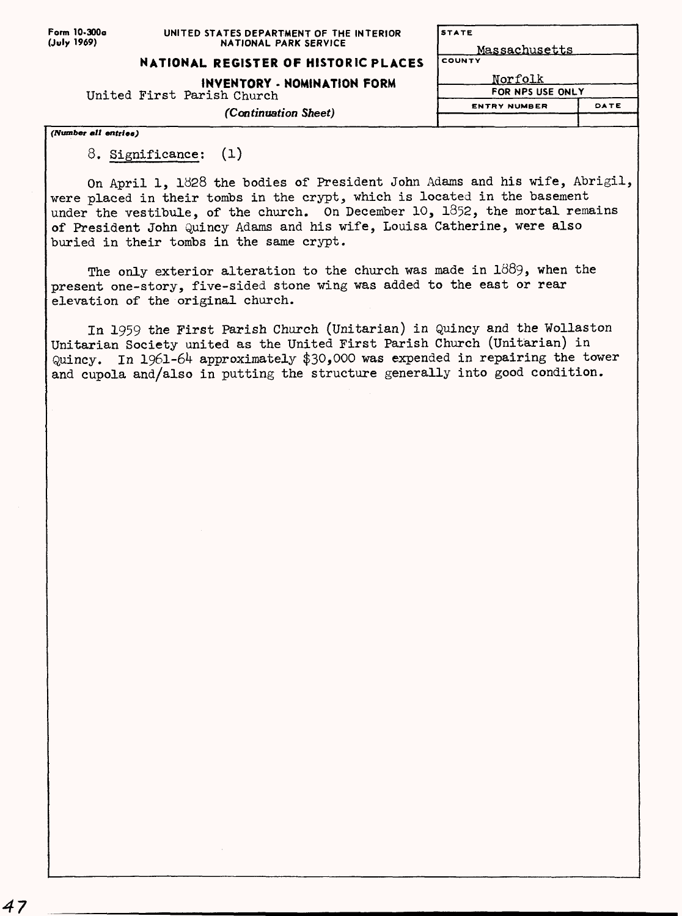## **NATIONAL REGISTER OF HISTORIC PLACES**

**INVENTORY - NOMINATION FORM**

United First Parish Church

*(Continuation Sheet)*

*(Number* **all** *entries)*

8. Significance; (l)

On April 1, 1928 the bodies of President John Adams and his wife, Abrigil, were placed in their tombs in the crypt, which is located in the basement under the vestibule, of the church. On December 10, 1852, the mortal remains of President John Quincy Adams and his wife, Louisa Catherine, were also buried in their tombs in the same crypt.

Massachusetts

**STATE** 

**ENTRY NUMBER**

Norfolk **FOR NPS USE ONLY**

DATE

The only exterior alteration to the church was made in  $1889$ , when the present one-story, five-sided stone wing was added to the east or rear elevation of the original church.

In 1959 the First Parish Church (Unitarian) in Quincy and the Wollaston Unitarian Society united as the United First Parish Church (Unitarian) in Quincy. In 1961-64 approximately \$30,000 was expended in repairing the tower and cupola and/also in putting the structure generally into good condition.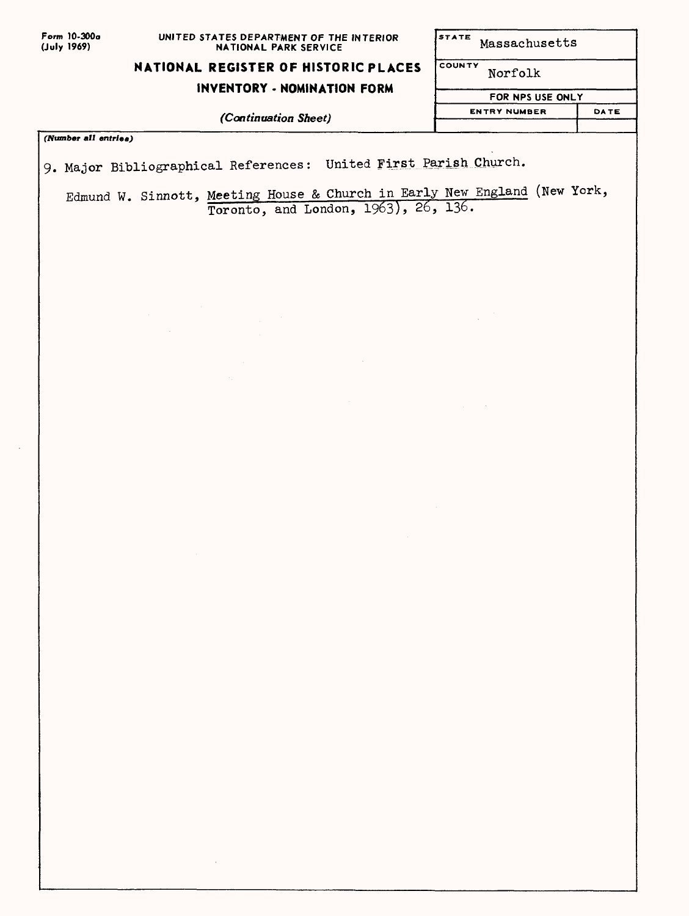| Form 10-300a |
|--------------|
| (July 1969)  |

STATE Massachusetts

COUNTY

### **NATIONAL REGISTER OF HISTORIC PLACES**

#### **INVENTORY - NOMINATION FORM**

*(Continuation Sheet)*

**(TVumber** *mil entries)*

9. Major Bibliographical References: United First Parish Church.

Edmund W. Sinnott, Meeting House & Church in Early New England (New York, Toronto, and London, 1963), 26, 136.

Norfolk

**FOR NPS USE ONLY ENTRY NUMBER**

DATE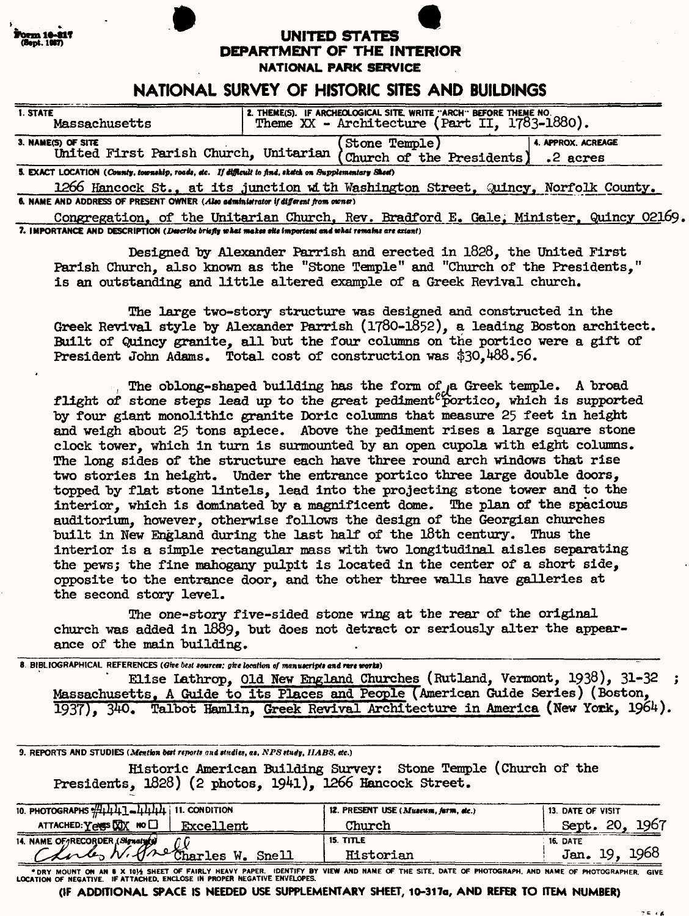|  | Form 10-817  |  |
|--|--------------|--|
|  |              |  |
|  | (Bept. 1967) |  |
|  |              |  |

# **(fcpt. 1«IT) UNITED STATES DEPARTMENT OF THE INTERIOR**

**NATIONAL PARK SERVICE**

# **NATIONAL SURVEY OF HISTORIC SITES AND BUILDINGS**

| 1. STATE<br>Massachusetts                                                                             | 2. THEME(S). IF ARCHEOLOGICAL SITE, WRITE "ARCH" BEFORE THEME NO.<br>Theme $XX$ - Architecture (Part II, 1783-1880). |                |  |                                |  |
|-------------------------------------------------------------------------------------------------------|----------------------------------------------------------------------------------------------------------------------|----------------|--|--------------------------------|--|
| 3. NAME(S) OF SITE<br>United First Parish Church, Unitarian (Church of the Presidents)                |                                                                                                                      | (Stone Temple) |  | 4. APPROX. ACREAGE<br>.2 acres |  |
| 5. EXACT LOCATION (County, township, roads, etc. If difficult to find, sketch on Supplementary Sheet) |                                                                                                                      |                |  |                                |  |

1266 Hancock St.. at its junction with Washington Street. Quincy, Norfolk County. **6. NAME AND ADDRESS OF PRESENT OWNER** *(Also administrator if different from owner)* 

Congregation, of the Unitarian Church. Rev. Bradford E. Gale; Minister. Quincy 02169. 7. IMPORTANCE AND DESCRIPTION (*Describe briefly what makes site important and what remains are extant*)

Designed by Alexander Parrish and erected in 1828, the United First Parish Church, also known as the "Stone Temple" and "Church of the Presidents," is an outstanding and little altered example of a Greek Revival church.

The large two-story structure was designed and constructed in the Greek Revival style by Alexander Parrish (1780-1852), a leading Boston architect. Built of Quincy granite, all but the four columns on the portico were a gift of President John Adams. Total cost of construction was \$30,488.56.

, The oblong-shaped building has the form of  $a$  Greek temple. A broad flight of stone steps lead up to the great pediment<sup>e</sup> portico, which is supported by four giant monolithic granite Doric columns that measure 25 feet in height and weigh about 25 tons apiece. Above the pediment rises a large square stone clock tower, which in turn is surmounted by an open cupola with eight columns. The long sides of the structure each have three round arch windows that rise two stories in height. Under the entrance portico three large double doors, topped by flat stone lintels, lead into the projecting stone tower and to the interior, which is dominated by a magnificent dome. The plan of the spacious auditorium, however, otherwise follows the design of the Georgian churches built in New England during the last half of the 18th century. Thus the interior is a simple rectangular mass with two longitudinal aisles separating the pews; the fine mahogany pulpit is located in the center of a short side, opposite to the entrance door, and the other three walls have galleries at the second story level.

The one-story five-sided stone wing at the rear of the original church was added in 1889, but does not detract or seriously alter the appearance of the main building.

8. BIBLIOGRAPHICAL REFERENCES (Give best sources; give location of manuscripts and rare works) Elise Lathrop, Old New England Churches (Rutland, Vermont, 1938), 31-32 ; Massachusetts. A Guide to its Places and People (American Guide Series) (Boston, 1937). 340. Talbot Hamlin. Greek Revival Architecture in America (New York,  $1964$ ).

9. REPORTS AND STUDIES (Mention best reports and studies, as, NPS study, IIAB8, etc.)

Historic American Building Survey: Stone Temple (Church of the Presidents, 1828) (2 photos, 1941), 1266 Hancock Street.

| 10. PHOTOGRAPHS $\frac{1}{2}$ +4444444 11. CONDITION               | 12. PRESENT USE (Museum, farm, etc.) | <b>13. DATE OF VISIT</b> |
|--------------------------------------------------------------------|--------------------------------------|--------------------------|
| ATTACHED: Yess WX NO<br>Excellent                                  | Church                               | Sept. 20, 1967           |
|                                                                    | 15. TITLE                            | 16. DATE                 |
| 14. NAME OF RECORDER (SIgnaty) Of<br>Clarles W. Premaries W. Snell | Historian                            | Jan. 19, 1968            |

" DRY MOUNT ON AN B X 1014 SHEET OF FAIRLY HEAVY PAPER. IDENTIFY BY VIEW AND NAME OF THE SITE, DATE OF PHOTOGRAPH, AND NAME OF PHOTOGRAPHER. GIVE

**(IF ADDITIONAL SPACE IS NEEDED USE SUPPLEMENTARY SHEET, 10-317a, AND REFER TO ITEM NUMBER)**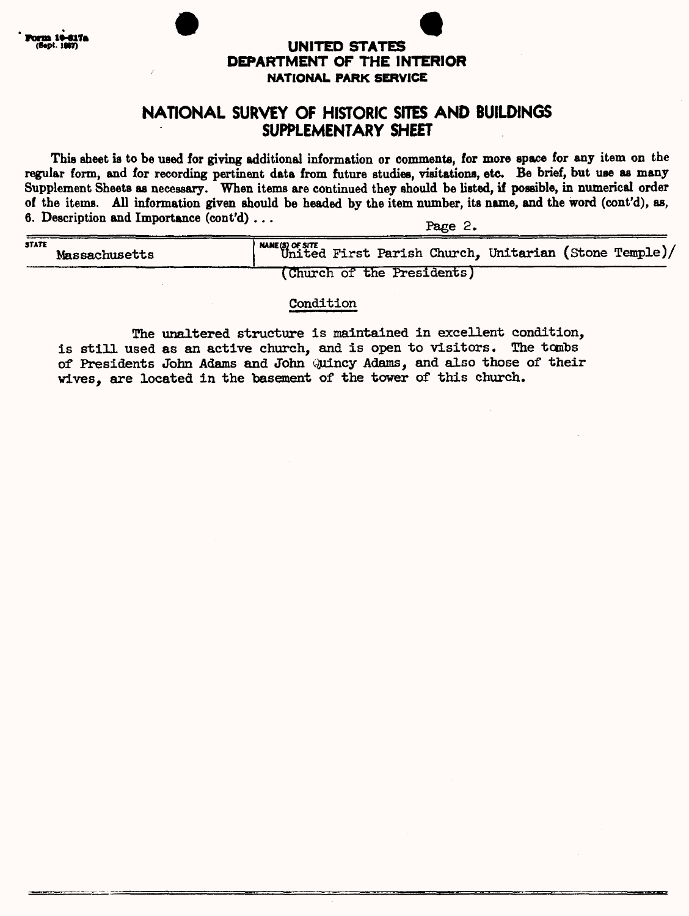

## **UNITED STATES DEPARTMENT OF THE INTERIOR NATIONAL PARK SERVICE**

# **NATIONAL SURVEY OF HISTORIC SITES AND BUILDINGS SUPPLEMENTARY SHEET**

**This sheet is to be used for giving additional information or comments, for more space for any item on the regular form, and for recording pertinent data from future studies, visitations, etc. Be brief, but use as many**  Supplement Sheets as necessary. When items are continued they should be listed, if possible, in numerical order **of the items. All information given should be headed by the item number, its name, and the word (cont'd), as, 6. Description and Importance (cont'd)...** Page 2.

| <b>STATE</b><br><b>Massachusetts</b> | <b>AMME(S) OF SITE</b><br>United First Parish Church, Unitarian (Stone Temple)/ |
|--------------------------------------|---------------------------------------------------------------------------------|
|                                      | (Church of the Presidents)                                                      |

#### Condition

The unaltered structure is maintained in excellent condition, is still used as an active church, and is open to visitors. The tombs of Presidents John Adams and John Quincy Adams, and also those of their wives, are located in the basement of the tower of this church.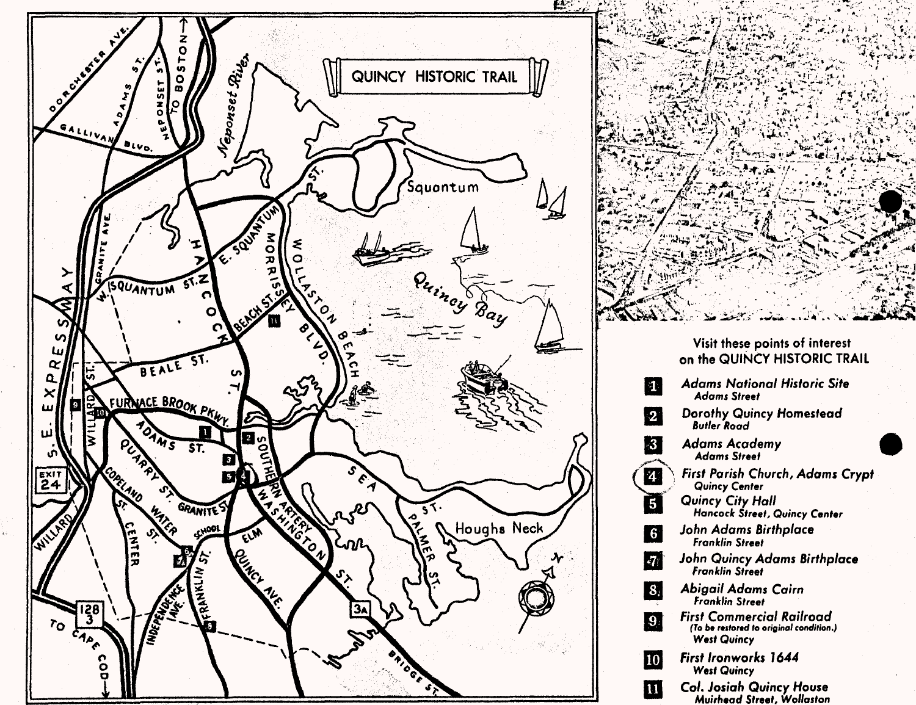

# Visit these points of interest on the QUINCY HISTORIC TRAIL **Adams National Historic Site**   $\mathbf{1}$ **Adams Street Dorothy Quincy Homestead**   $\overline{2}$ **Butler Koad**  $-3$ **Adams Academy Adams Street** 2 **\ First Parish Church, Adams Crypt Quincy Center**  6 **Quincy City Hall Hancock Street, Quincy Center John Adams Birthplace**   $6$ **Franklin Street John Quincy Adams Birthplace**   $\overline{3}$ **Franklin Street**  $\left| 3 \right\rangle$ **Abigail Adams Cairn Franklin Street First Commercial Railroad**  $\vert 9.$ (To be restored to original condition.) **West Quincy** 10 **First Ironworks 1644 West Quincy** W **Col. Josiah Quincy House**

**Muirhead Street, Wollaston**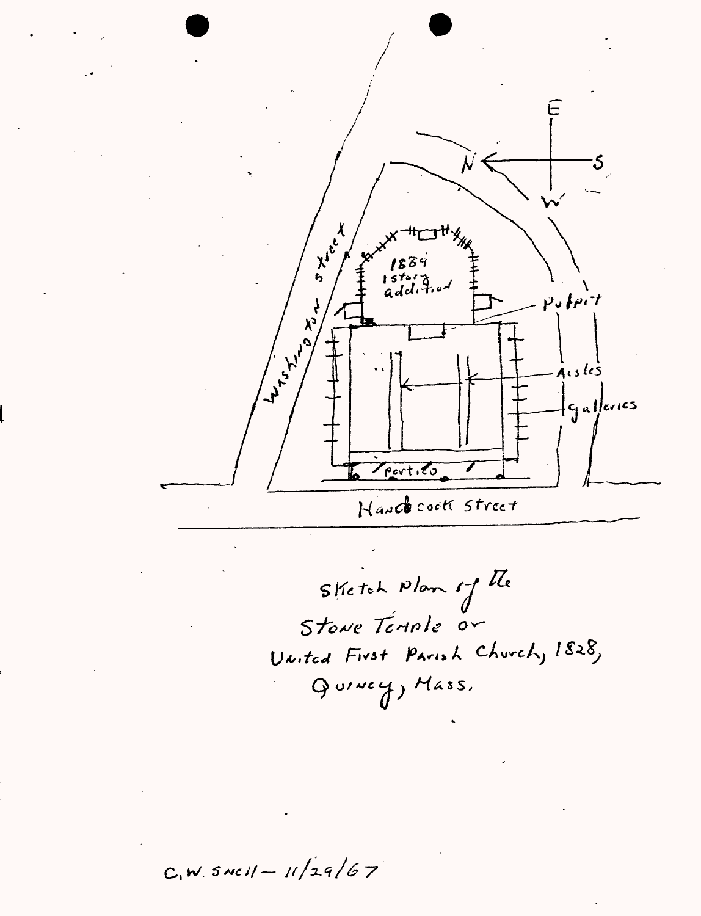

Sketch Plan of the Stone Temple or United First Parish Church, 1828, Quincy, Mass,

 $C_1$ W. SNCII - 11/29/67